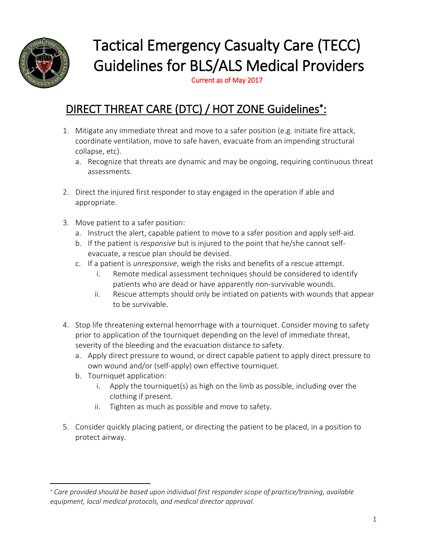

 $\overline{\phantom{a}}$ 

# Tactical Emergency Casualty Care (TECC) Guidelines for BLS/ALS Medical Providers

Current as of May 2017

## DIRECT THREAT CARE (DTC) / HOT ZONE Guidelines\*:

- 1. Mitigate any immediate threat and move to a safer position (e.g. initiate fire attack, coordinate ventilation, move to safe haven, evacuate from an impending structural collapse, etc).
	- a. Recognize that threats are dynamic and may be ongoing, requiring continuous threat assessments.
- 2. Direct the injured first responder to stay engaged in the operation if able and appropriate.
- 3. Move patient to a safer position:
	- a. Instruct the alert, capable patient to move to a safer position and apply self-aid.
	- b. If the patient is *responsive* but is injured to the point that he/she cannot selfevacuate, a rescue plan should be devised.
	- c. If a patient is *unresponsive*, weigh the risks and benefits of a rescue attempt.
		- i. Remote medical assessment techniques should be considered to identify patients who are dead or have apparently non-survivable wounds.
		- ii. Rescue attempts should only be intiated on patients with wounds that appear to be survivable.
- 4. Stop life threatening external hemorrhage with a tourniquet. Consider moving to safety prior to application of the tourniquet depending on the level of immediate threat, severity of the bleeding and the evacuation distance to safety.
	- a. Apply direct pressure to wound, or direct capable patient to apply direct pressure to own wound and/or (self-apply) own effective tourniquet.
	- b. Tourniquet application:
		- i. Apply the tourniquet(s) as high on the limb as possible, including over the clothing if present.
		- ii. Tighten as much as possible and move to safety.
- 5. Consider quickly placing patient, or directing the patient to be placed, in a position to protect airway.

*Care provided should be based upon individual first responder scope of practice/training, available equipment, local medical protocols, and medical director approval.*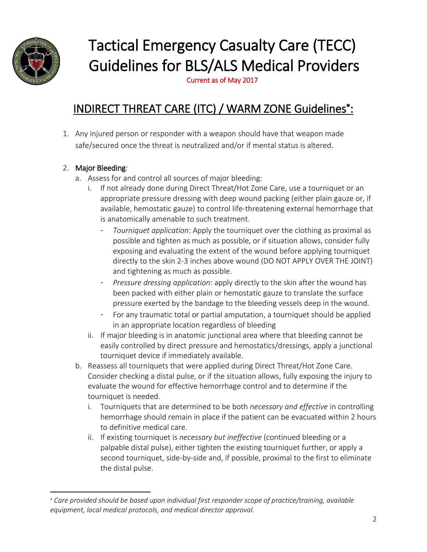

 $\overline{a}$ 

# Tactical Emergency Casualty Care (TECC) Guidelines for BLS/ALS Medical Providers

Current as of May 2017

## INDIRECT THREAT CARE (ITC) / WARM ZONE Guidelines\*:

1. Any injured person or responder with a weapon should have that weapon made safe/secured once the threat is neutralized and/or if mental status is altered.

#### 2. Major Bleeding*:*

- a. Assess for and control all sources of major bleeding:
	- i. If not already done during Direct Threat/Hot Zone Care, use a tourniquet or an appropriate pressure dressing with deep wound packing (either plain gauze or, if available, hemostatic gauze) to control life-threatening external hemorrhage that is anatomically amenable to such treatment.
		- *Tourniquet application*: Apply the tourniquet over the clothing as proximal as possible and tighten as much as possible, or if situation allows, consider fully exposing and evaluating the extent of the wound before applying tourniquet directly to the skin 2-3 inches above wound (DO NOT APPLY OVER THE JOINT) and tightening as much as possible.
		- Pressure dressing application: apply directly to the skin after the wound has been packed with either plain or hemostatic gauze to translate the surface pressure exerted by the bandage to the bleeding vessels deep in the wound.
		- For any traumatic total or partial amputation, a tourniquet should be applied in an appropriate location regardless of bleeding
	- ii. If major bleeding is in anatomic junctional area where that bleeding cannot be easily controlled by direct pressure and hemostatics/dressings, apply a junctional tourniquet device if immediately available.
- b. Reassess all tourniquets that were applied during Direct Threat/Hot Zone Care. Consider checking a distal pulse, or if the situation allows, fully exposing the injury to evaluate the wound for effective hemorrhage control and to determine if the tourniquet is needed.
	- i. Tourniquets that are determined to be both *necessary and effective* in controlling hemorrhage should remain in place if the patient can be evacuated within 2 hours to definitive medical care.
	- ii. If existing tourniquet is *necessary but ineffective* (continued bleeding or a palpable distal pulse), either tighten the existing tourniquet further, or apply a second tourniquet, side-by-side and, if possible, proximal to the first to eliminate the distal pulse.

*Care provided should be based upon individual first responder scope of practice/training, available equipment, local medical protocols, and medical director approval.*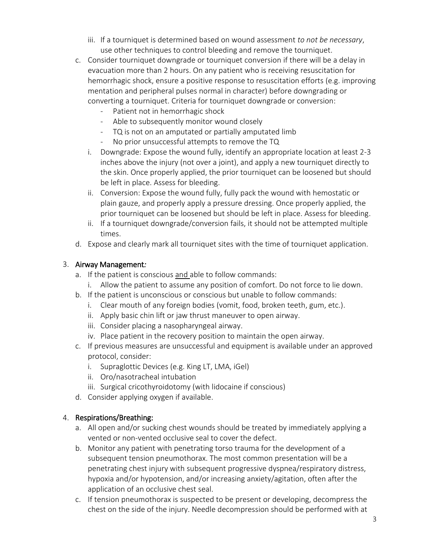- iii. If a tourniquet is determined based on wound assessment *to not be necessary*, use other techniques to control bleeding and remove the tourniquet.
- c. Consider tourniquet downgrade or tourniquet conversion if there will be a delay in evacuation more than 2 hours. On any patient who is receiving resuscitation for hemorrhagic shock, ensure a positive response to resuscitation efforts (e.g. improving mentation and peripheral pulses normal in character) before downgrading or converting a tourniquet. Criteria for tourniquet downgrade or conversion:
	- Patient not in hemorrhagic shock
	- Able to subsequently monitor wound closely
	- TQ is not on an amputated or partially amputated limb
	- No prior unsuccessful attempts to remove the TQ
	- i. Downgrade: Expose the wound fully, identify an appropriate location at least 2-3 inches above the injury (not over a joint), and apply a new tourniquet directly to the skin. Once properly applied, the prior tourniquet can be loosened but should be left in place. Assess for bleeding.
	- ii. Conversion: Expose the wound fully, fully pack the wound with hemostatic or plain gauze, and properly apply a pressure dressing. Once properly applied, the prior tourniquet can be loosened but should be left in place. Assess for bleeding.
	- ii. If a tourniquet downgrade/conversion fails, it should not be attempted multiple times.
- d. Expose and clearly mark all tourniquet sites with the time of tourniquet application.

#### 3. Airway Management*:*

- a. If the patient is conscious and able to follow commands:
	- i. Allow the patient to assume any position of comfort. Do not force to lie down.
- b. If the patient is unconscious or conscious but unable to follow commands:
	- i. Clear mouth of any foreign bodies (vomit, food, broken teeth, gum, etc.).
	- ii. Apply basic chin lift or jaw thrust maneuver to open airway.
	- iii. Consider placing a nasopharyngeal airway.
	- iv. Place patient in the recovery position to maintain the open airway.
- c. If previous measures are unsuccessful and equipment is available under an approved protocol, consider:
	- i. Supraglottic Devices (e.g. King LT, LMA, iGel)
	- ii. Oro/nasotracheal intubation
	- iii. Surgical cricothyroidotomy (with lidocaine if conscious)
- d. Consider applying oxygen if available.

#### 4. Respirations/Breathing:

- a. All open and/or sucking chest wounds should be treated by immediately applying a vented or non-vented occlusive seal to cover the defect.
- b. Monitor any patient with penetrating torso trauma for the development of a subsequent tension pneumothorax. The most common presentation will be a penetrating chest injury with subsequent progressive dyspnea/respiratory distress, hypoxia and/or hypotension, and/or increasing anxiety/agitation, often after the application of an occlusive chest seal.
- c. If tension pneumothorax is suspected to be present or developing, decompress the chest on the side of the injury. Needle decompression should be performed with at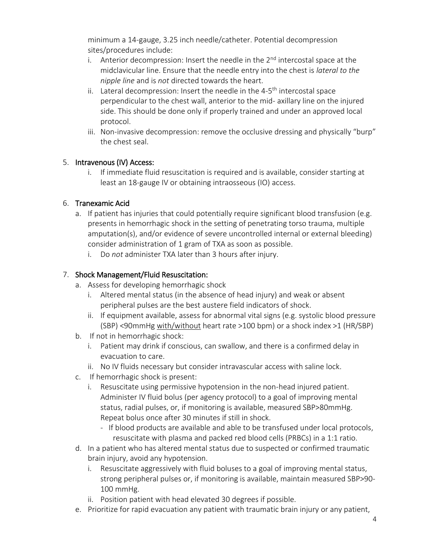minimum a 14-gauge, 3.25 inch needle/catheter. Potential decompression sites/procedures include:

- i. Anterior decompression: Insert the needle in the  $2<sup>nd</sup>$  intercostal space at the midclavicular line. Ensure that the needle entry into the chest is *lateral to the nipple line* and is *not* directed towards the heart.
- ii. Lateral decompression: Insert the needle in the 4-5<sup>th</sup> intercostal space perpendicular to the chest wall, anterior to the mid- axillary line on the injured side. This should be done only if properly trained and under an approved local protocol.
- iii. Non-invasive decompression: remove the occlusive dressing and physically "burp" the chest seal.

#### 5. Intravenous (IV) Access:

i. If immediate fluid resuscitation is required and is available, consider starting at least an 18-gauge IV or obtaining intraosseous (IO) access.

#### 6. Tranexamic Acid

- a. If patient has injuries that could potentially require significant blood transfusion (e.g. presents in hemorrhagic shock in the setting of penetrating torso trauma, multiple amputation(s), and/or evidence of severe uncontrolled internal or external bleeding) consider administration of 1 gram of TXA as soon as possible.
	- i. Do *not* administer TXA later than 3 hours after injury.

#### 7. Shock Management/Fluid Resuscitation:

- a. Assess for developing hemorrhagic shock
	- i. Altered mental status (in the absence of head injury) and weak or absent peripheral pulses are the best austere field indicators of shock.
	- ii. If equipment available, assess for abnormal vital signs (e.g. systolic blood pressure (SBP) <90mmHg with/without heart rate >100 bpm) or a shock index >1 (HR/SBP)
- b. If not in hemorrhagic shock:
	- i. Patient may drink if conscious, can swallow, and there is a confirmed delay in evacuation to care.
	- ii. No IV fluids necessary but consider intravascular access with saline lock.
- c. If hemorrhagic shock is present:
	- i. Resuscitate using permissive hypotension in the non-head injured patient. Administer IV fluid bolus (per agency protocol) to a goal of improving mental status, radial pulses, or, if monitoring is available, measured SBP>80mmHg. Repeat bolus once after 30 minutes if still in shock.
		- If blood products are available and able to be transfused under local protocols, resuscitate with plasma and packed red blood cells (PRBCs) in a 1:1 ratio.
- d. In a patient who has altered mental status due to suspected or confirmed traumatic brain injury, avoid any hypotension.
	- i. Resuscitate aggressively with fluid boluses to a goal of improving mental status, strong peripheral pulses or, if monitoring is available, maintain measured SBP>90- 100 mmHg.
	- ii. Position patient with head elevated 30 degrees if possible.
- e. Prioritize for rapid evacuation any patient with traumatic brain injury or any patient,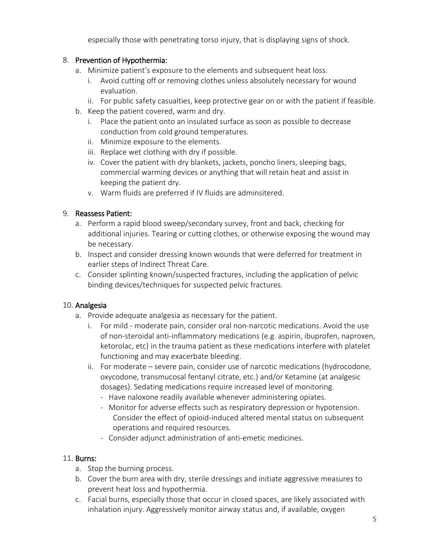especially those with penetrating torso injury, that is displaying signs of shock.

#### 8. Prevention of Hypothermia:

- a. Minimize patient's exposure to the elements and subsequent heat loss.
	- i. Avoid cutting off or removing clothes unless absolutely necessary for wound evaluation.
	- ii. For public safety casualties, keep protective gear on or with the patient if feasible.
- b. Keep the patient covered, warm and dry.
	- i. Place the patient onto an insulated surface as soon as possible to decrease conduction from cold ground temperatures.
	- ii. Minimize exposure to the elements.
	- iii. Replace wet clothing with dry if possible.
	- iv. Cover the patient with dry blankets, jackets, poncho liners, sleeping bags, commercial warming devices or anything that will retain heat and assist in keeping the patient dry.
	- v. Warm fluids are preferred if IV fluids are adminsitered.

#### 9. Reassess Patient:

- a. Perform a rapid blood sweep/secondary survey, front and back, checking for additional injuries. Tearing or cutting clothes, or otherwise exposing the wound may be necessary.
- b. Inspect and consider dressing known wounds that were deferred for treatment in earlier steps of Indirect Threat Care.
- c. Consider splinting known/suspected fractures, including the application of pelvic binding devices/techniques for suspected pelvic fractures.

#### 10. Analgesia

- a. Provide adequate analgesia as necessary for the patient.
	- i. For mild moderate pain, consider oral non-narcotic medications. Avoid the use of non-steroidal anti-inflammatory medications (e.g. aspirin, ibuprofen, naproxen, ketorolac, etc) in the trauma patient as these medications interfere with platelet functioning and may exacerbate bleeding.
	- ii. For moderate severe pain, consider use of narcotic medications (hydrocodone, oxycodone, transmucosal fentanyl citrate, etc.) and/or Ketamine (at analgesic dosages). Sedating medications require increased level of monitoring.
		- Have naloxone readily available whenever administering opiates.
		- Monitor for adverse effects such as respiratory depression or hypotension. Consider the effect of opioid-induced altered mental status on subsequent operations and required resources.
		- Consider adjunct administration of anti-emetic medicines.

#### 11. Burns:

- a. Stop the burning process.
- b. Cover the burn area with dry, sterile dressings and initiate aggressive measures to prevent heat loss and hypothermia.
- c. Facial burns, especially those that occur in closed spaces, are likely associated with inhalation injury. Aggressively monitor airway status and, if available, oxygen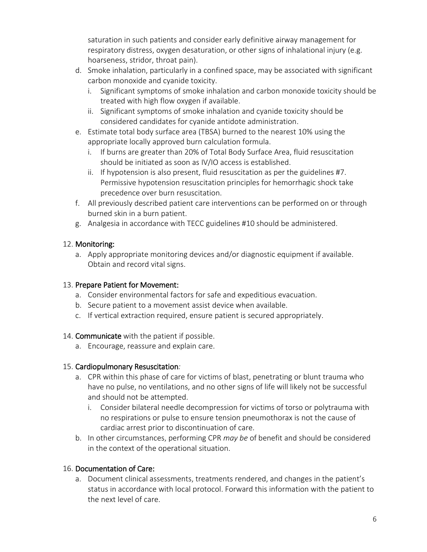saturation in such patients and consider early definitive airway management for respiratory distress, oxygen desaturation, or other signs of inhalational injury (e.g. hoarseness, stridor, throat pain).

- d. Smoke inhalation, particularly in a confined space, may be associated with significant carbon monoxide and cyanide toxicity.
	- i. Significant symptoms of smoke inhalation and carbon monoxide toxicity should be treated with high flow oxygen if available.
	- ii. Significant symptoms of smoke inhalation and cyanide toxicity should be considered candidates for cyanide antidote administration.
- e. Estimate total body surface area (TBSA) burned to the nearest 10% using the appropriate locally approved burn calculation formula.
	- i. If burns are greater than 20% of Total Body Surface Area, fluid resuscitation should be initiated as soon as IV/IO access is established.
	- ii. If hypotension is also present, fluid resuscitation as per the guidelines #7. Permissive hypotension resuscitation principles for hemorrhagic shock take precedence over burn resuscitation.
- f. All previously described patient care interventions can be performed on or through burned skin in a burn patient.
- g. Analgesia in accordance with TECC guidelines #10 should be administered.

#### 12. Monitoring:

a. Apply appropriate monitoring devices and/or diagnostic equipment if available. Obtain and record vital signs.

#### 13. Prepare Patient for Movement:

- a. Consider environmental factors for safe and expeditious evacuation.
- b. Secure patient to a movement assist device when available.
- c. If vertical extraction required, ensure patient is secured appropriately.

#### 14. Communicate with the patient if possible.

a. Encourage, reassure and explain care.

#### 15. Cardiopulmonary Resuscitation*:*

- a. CPR within this phase of care for victims of blast, penetrating or blunt trauma who have no pulse, no ventilations, and no other signs of life will likely not be successful and should not be attempted.
	- i. Consider bilateral needle decompression for victims of torso or polytrauma with no respirations or pulse to ensure tension pneumothorax is not the cause of cardiac arrest prior to discontinuation of care.
- b. In other circumstances, performing CPR *may be* of benefit and should be considered in the context of the operational situation.

#### 16. Documentation of Care:

a. Document clinical assessments, treatments rendered, and changes in the patient's status in accordance with local protocol. Forward this information with the patient to the next level of care.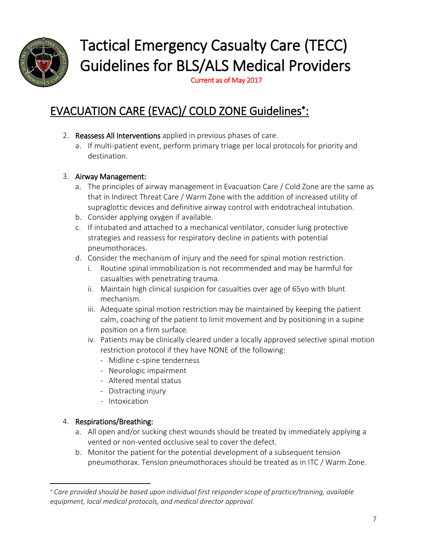

# Tactical Emergency Casualty Care (TECC) Guidelines for BLS/ALS Medical Providers

Current as of May 2017

## EVACUATION CARE (EVAC)/ COLD ZONE Guidelines\*:

- 2. Reassess All Interventions applied in previous phases of care.
	- a. If multi-patient event, perform primary triage per local protocols for priority and destination.

#### 3. Airway Management:

- a. The principles of airway management in Evacuation Care / Cold Zone are the same as that in Indirect Threat Care / Warm Zone with the addition of increased utility of supraglottic devices and definitive airway control with endotracheal intubation.
- b. Consider applying oxygen if available.
- c. If intubated and attached to a mechanical ventilator, consider lung protective strategies and reassess for respiratory decline in patients with potential pneumothoraces.
- d. Consider the mechanism of injury and the need for spinal motion restriction.
	- i. Routine spinal immobilization is not recommended and may be harmful for casualties with penetrating trauma.
	- ii. Maintain high clinical suspicion for casualties over age of 65yo with blunt mechanism.
	- iii. Adequate spinal motion restriction may be maintained by keeping the patient calm, coaching of the patient to limit movement and by positioning in a supine position on a firm surface.
	- iv. Patients may be clinically cleared under a locally approved selective spinal motion restriction protocol if they have NONE of the following:
		- Midline c-spine tenderness
		- Neurologic impairment
		- Altered mental status
		- Distracting injury
		- Intoxication

#### 4. Respirations/Breathing:

 $\overline{\phantom{a}}$ 

- a. All open and/or sucking chest wounds should be treated by immediately applying a vented or non-vented occlusive seal to cover the defect.
- b. Monitor the patient for the potential development of a subsequent tension pneumothorax. Tension pneumothoraces should be treated as in ITC / Warm Zone.

*Care provided should be based upon individual first responder scope of practice/training, available equipment, local medical protocols, and medical director approval.*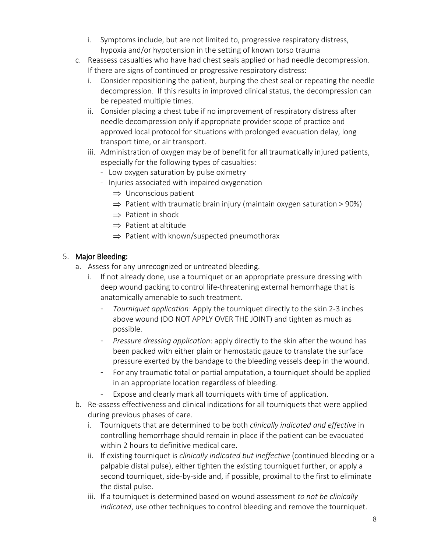- i. Symptoms include, but are not limited to, progressive respiratory distress, hypoxia and/or hypotension in the setting of known torso trauma
- c. Reassess casualties who have had chest seals applied or had needle decompression. If there are signs of continued or progressive respiratory distress:
	- i. Consider repositioning the patient, burping the chest seal or repeating the needle decompression. If this results in improved clinical status, the decompression can be repeated multiple times.
	- ii. Consider placing a chest tube if no improvement of respiratory distress after needle decompression only if appropriate provider scope of practice and approved local protocol for situations with prolonged evacuation delay, long transport time, or air transport.
	- iii. Administration of oxygen may be of benefit for all traumatically injured patients, especially for the following types of casualties:
		- Low oxygen saturation by pulse oximetry
		- Injuries associated with impaired oxygenation
			- $\Rightarrow$  Unconscious patient
			- $\Rightarrow$  Patient with traumatic brain injury (maintain oxygen saturation > 90%)
			- $\Rightarrow$  Patient in shock
			- $\Rightarrow$  Patient at altitude
			- $\Rightarrow$  Patient with known/suspected pneumothorax

#### 5. Major Bleeding:

- a. Assess for any unrecognized or untreated bleeding.
	- i. If not already done, use a tourniquet or an appropriate pressure dressing with deep wound packing to control life-threatening external hemorrhage that is anatomically amenable to such treatment.
		- *Tourniquet application*: Apply the tourniquet directly to the skin 2-3 inches above wound (DO NOT APPLY OVER THE JOINT) and tighten as much as possible.
		- *Pressure dressing application*: apply directly to the skin after the wound has been packed with either plain or hemostatic gauze to translate the surface pressure exerted by the bandage to the bleeding vessels deep in the wound.
		- For any traumatic total or partial amputation, a tourniquet should be applied in an appropriate location regardless of bleeding.
		- Expose and clearly mark all tourniquets with time of application.
- b. Re-assess effectiveness and clinical indications for all tourniquets that were applied during previous phases of care.
	- i. Tourniquets that are determined to be both *clinically indicated and effective* in controlling hemorrhage should remain in place if the patient can be evacuated within 2 hours to definitive medical care.
	- ii. If existing tourniquet is *clinically indicated but ineffective* (continued bleeding or a palpable distal pulse), either tighten the existing tourniquet further, or apply a second tourniquet, side-by-side and, if possible, proximal to the first to eliminate the distal pulse.
	- iii. If a tourniquet is determined based on wound assessment *to not be clinically indicated*, use other techniques to control bleeding and remove the tourniquet.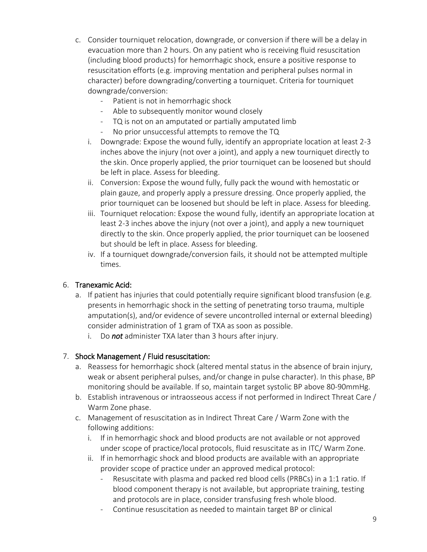- c. Consider tourniquet relocation, downgrade, or conversion if there will be a delay in evacuation more than 2 hours. On any patient who is receiving fluid resuscitation (including blood products) for hemorrhagic shock, ensure a positive response to resuscitation efforts (e.g. improving mentation and peripheral pulses normal in character) before downgrading/converting a tourniquet. Criteria for tourniquet downgrade/conversion:
	- Patient is not in hemorrhagic shock
	- Able to subsequently monitor wound closely
	- TQ is not on an amputated or partially amputated limb
	- No prior unsuccessful attempts to remove the TQ
	- i. Downgrade: Expose the wound fully, identify an appropriate location at least 2-3 inches above the injury (not over a joint), and apply a new tourniquet directly to the skin. Once properly applied, the prior tourniquet can be loosened but should be left in place. Assess for bleeding.
	- ii. Conversion: Expose the wound fully, fully pack the wound with hemostatic or plain gauze, and properly apply a pressure dressing. Once properly applied, the prior tourniquet can be loosened but should be left in place. Assess for bleeding.
	- iii. Tourniquet relocation: Expose the wound fully, identify an appropriate location at least 2-3 inches above the injury (not over a joint), and apply a new tourniquet directly to the skin. Once properly applied, the prior tourniquet can be loosened but should be left in place. Assess for bleeding.
	- iv. If a tourniquet downgrade/conversion fails, it should not be attempted multiple times.

#### 6. Tranexamic Acid:

- a. If patient has injuries that could potentially require significant blood transfusion (e.g. presents in hemorrhagic shock in the setting of penetrating torso trauma, multiple amputation(s), and/or evidence of severe uncontrolled internal or external bleeding) consider administration of 1 gram of TXA as soon as possible.
	- i. Do *not* administer TXA later than 3 hours after injury.

#### 7. Shock Management / Fluid resuscitation:

- a. Reassess for hemorrhagic shock (altered mental status in the absence of brain injury, weak or absent peripheral pulses, and/or change in pulse character). In this phase, BP monitoring should be available. If so, maintain target systolic BP above 80-90mmHg.
- b. Establish intravenous or intraosseous access if not performed in Indirect Threat Care / Warm Zone phase.
- c. Management of resuscitation as in Indirect Threat Care / Warm Zone with the following additions:
	- i. If in hemorrhagic shock and blood products are not available or not approved under scope of practice/local protocols, fluid resuscitate as in ITC/ Warm Zone.
	- ii. If in hemorrhagic shock and blood products are available with an appropriate provider scope of practice under an approved medical protocol:
		- Resuscitate with plasma and packed red blood cells (PRBCs) in a 1:1 ratio. If blood component therapy is not available, but appropriate training, testing and protocols are in place, consider transfusing fresh whole blood.
		- Continue resuscitation as needed to maintain target BP or clinical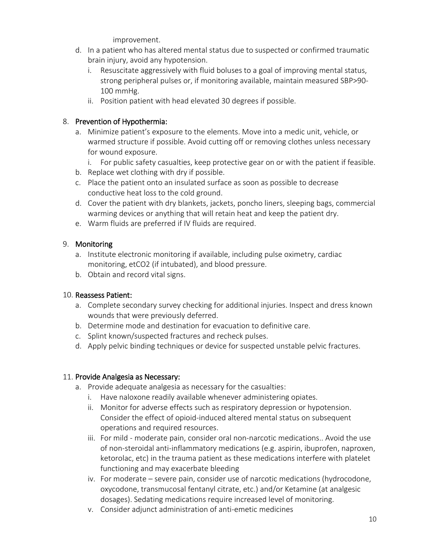improvement.

- d. In a patient who has altered mental status due to suspected or confirmed traumatic brain injury, avoid any hypotension.
	- i. Resuscitate aggressively with fluid boluses to a goal of improving mental status, strong peripheral pulses or, if monitoring available, maintain measured SBP>90- 100 mmHg.
	- ii. Position patient with head elevated 30 degrees if possible.

#### 8. Prevention of Hypothermia:

- a. Minimize patient's exposure to the elements. Move into a medic unit, vehicle, or warmed structure if possible. Avoid cutting off or removing clothes unless necessary for wound exposure.
	- i. For public safety casualties, keep protective gear on or with the patient if feasible.
- b. Replace wet clothing with dry if possible.
- c. Place the patient onto an insulated surface as soon as possible to decrease conductive heat loss to the cold ground.
- d. Cover the patient with dry blankets, jackets, poncho liners, sleeping bags, commercial warming devices or anything that will retain heat and keep the patient dry.
- e. Warm fluids are preferred if IV fluids are required.

#### 9. Monitoring

- a. Institute electronic monitoring if available, including pulse oximetry, cardiac monitoring, etCO2 (if intubated), and blood pressure.
- b. Obtain and record vital signs.

#### 10. Reassess Patient:

- a. Complete secondary survey checking for additional injuries. Inspect and dress known wounds that were previously deferred.
- b. Determine mode and destination for evacuation to definitive care.
- c. Splint known/suspected fractures and recheck pulses.
- d. Apply pelvic binding techniques or device for suspected unstable pelvic fractures.

#### 11. Provide Analgesia as Necessary:

- a. Provide adequate analgesia as necessary for the casualties:
	- i. Have naloxone readily available whenever administering opiates.
	- ii. Monitor for adverse effects such as respiratory depression or hypotension. Consider the effect of opioid-induced altered mental status on subsequent operations and required resources.
	- iii. For mild moderate pain, consider oral non-narcotic medications.. Avoid the use of non-steroidal anti-inflammatory medications (e.g. aspirin, ibuprofen, naproxen, ketorolac, etc) in the trauma patient as these medications interfere with platelet functioning and may exacerbate bleeding
	- iv. For moderate severe pain, consider use of narcotic medications (hydrocodone, oxycodone, transmucosal fentanyl citrate, etc.) and/or Ketamine (at analgesic dosages). Sedating medications require increased level of monitoring.
	- v. Consider adjunct administration of anti-emetic medicines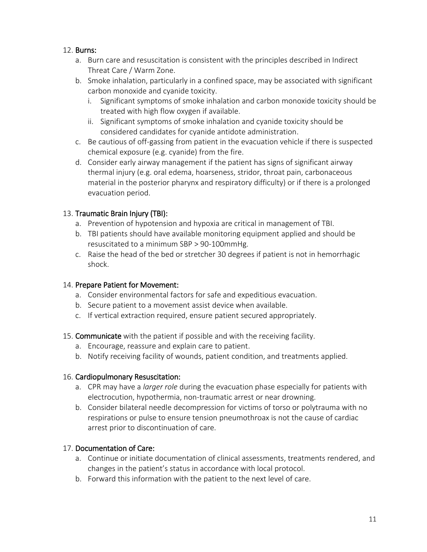#### 12. Burns:

- a. Burn care and resuscitation is consistent with the principles described in Indirect Threat Care / Warm Zone.
- b. Smoke inhalation, particularly in a confined space, may be associated with significant carbon monoxide and cyanide toxicity.
	- i. Significant symptoms of smoke inhalation and carbon monoxide toxicity should be treated with high flow oxygen if available.
	- ii. Significant symptoms of smoke inhalation and cyanide toxicity should be considered candidates for cyanide antidote administration.
- c. Be cautious of off-gassing from patient in the evacuation vehicle if there is suspected chemical exposure (e.g. cyanide) from the fire.
- d. Consider early airway management if the patient has signs of significant airway thermal injury (e.g. oral edema, hoarseness, stridor, throat pain, carbonaceous material in the posterior pharynx and respiratory difficulty) or if there is a prolonged evacuation period.

#### 13. Traumatic Brain Injury (TBI):

- a. Prevention of hypotension and hypoxia are critical in management of TBI.
- b. TBI patients should have available monitoring equipment applied and should be resuscitated to a minimum SBP > 90-100mmHg.
- c. Raise the head of the bed or stretcher 30 degrees if patient is not in hemorrhagic shock.

#### 14. Prepare Patient for Movement:

- a. Consider environmental factors for safe and expeditious evacuation.
- b. Secure patient to a movement assist device when available.
- c. If vertical extraction required, ensure patient secured appropriately.
- 15. Communicate with the patient if possible and with the receiving facility.
	- a. Encourage, reassure and explain care to patient.
	- b. Notify receiving facility of wounds, patient condition, and treatments applied.

#### 16. Cardiopulmonary Resuscitation:

- a. CPR may have a *larger role* during the evacuation phase especially for patients with electrocution, hypothermia, non-traumatic arrest or near drowning.
- b. Consider bilateral needle decompression for victims of torso or polytrauma with no respirations or pulse to ensure tension pneumothroax is not the cause of cardiac arrest prior to discontinuation of care.

#### 17. Documentation of Care:

- a. Continue or initiate documentation of clinical assessments, treatments rendered, and changes in the patient's status in accordance with local protocol.
- b. Forward this information with the patient to the next level of care.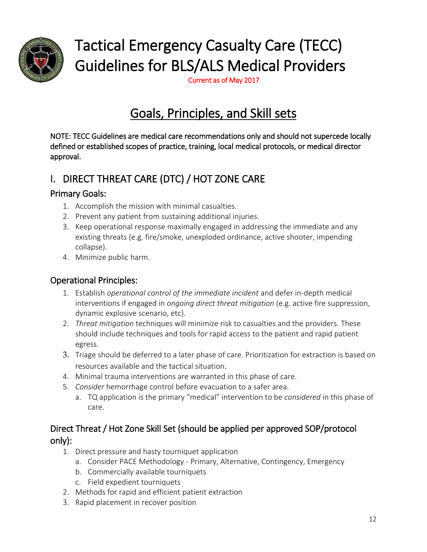

# Tactical Emergency Casualty Care (TECC) Guidelines for BLS/ALS Medical Providers

Current as of May 2017

# Goals, Principles, and Skill sets

NOTE: TECC Guidelines are medical care recommendations only and should not supercede locally defined or established scopes of practice, training, local medical protocols, or medical director approval.

## I. DIRECT THREAT CARE (DTC) / HOT ZONE CARE

### Primary Goals:

- 1. Accomplish the mission with minimal casualties.
- 2. Prevent any patient from sustaining additional injuries.
- 3. Keep operational response maximally engaged in addressing the immediate and any existing threats (e.g. fire/smoke, unexploded ordinance, active shooter, impending collapse).
- 4. Minimize public harm.

### Operational Principles:

- 1. Establish *operational control of the immediate incident* and defer in-depth medical interventions if engaged in *ongoing direct threat mitigation* (e.g. active fire suppression, dynamic explosive scenario, etc).
- 2. *Threat mitigation* techniques will minimize risk to casualties and the providers. These should include techniques and tools for rapid access to the patient and rapid patient egress.
- 3. Triage should be deferred to a later phase of care. Prioritization for extraction is based on resources available and the tactical situation.
- 4. Minimal trauma interventions are warranted in this phase of care.
- 5. *Consider* hemorrhage control before evacuation to a safer area.
	- a. TQ application is the primary "medical" intervention to be *considered* in this phase of care.

### Direct Threat / Hot Zone Skill Set (should be applied per approved SOP/protocol only):

- 1. Direct pressure and hasty tourniquet application
	- a. Consider PACE Methodology Primary, Alternative, Contingency, Emergency
	- b. Commercially available tourniquets
	- c. Field expedient tourniquets
- 2. Methods for rapid and efficient patient extraction
- 3. Rapid placement in recover position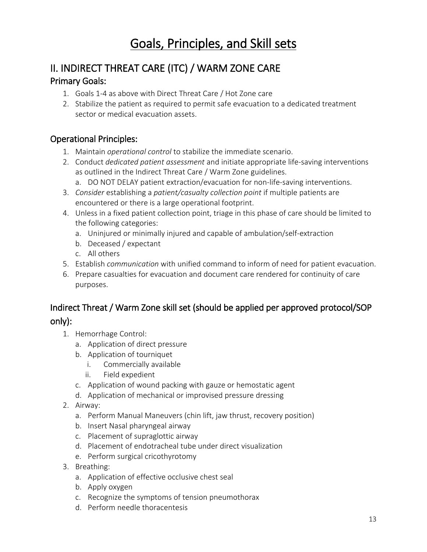# Goals, Principles, and Skill sets

# II. INDIRECT THREAT CARE (ITC) / WARM ZONE CARE

#### Primary Goals:

- 1. Goals 1-4 as above with Direct Threat Care / Hot Zone care
- 2. Stabilize the patient as required to permit safe evacuation to a dedicated treatment sector or medical evacuation assets.

### Operational Principles:

- 1. Maintain *operational control* to stabilize the immediate scenario.
- 2. Conduct *dedicated patient assessment* and initiate appropriate life-saving interventions as outlined in the Indirect Threat Care / Warm Zone guidelines.
	- a. DO NOT DELAY patient extraction/evacuation for non-life-saving interventions.
- 3. *Consider* establishing a *patient/casualty collection point* if multiple patients are encountered or there is a large operational footprint.
- 4. Unless in a fixed patient collection point, triage in this phase of care should be limited to the following categories:
	- a. Uninjured or minimally injured and capable of ambulation/self-extraction
	- b. Deceased / expectant
	- c. All others
- 5. Establish *communication* with unified command to inform of need for patient evacuation.
- 6. Prepare casualties for evacuation and document care rendered for continuity of care purposes.

### Indirect Threat / Warm Zone skill set (should be applied per approved protocol/SOP only):

- 1. Hemorrhage Control:
	- a. Application of direct pressure
	- b. Application of tourniquet
		- i. Commercially available
		- ii. Field expedient
	- c. Application of wound packing with gauze or hemostatic agent
	- d. Application of mechanical or improvised pressure dressing
- 2. Airway:
	- a. Perform Manual Maneuvers (chin lift, jaw thrust, recovery position)
	- b. Insert Nasal pharyngeal airway
	- c. Placement of supraglottic airway
	- d. Placement of endotracheal tube under direct visualization
	- e. Perform surgical cricothyrotomy
- 3. Breathing:
	- a. Application of effective occlusive chest seal
	- b. Apply oxygen
	- c. Recognize the symptoms of tension pneumothorax
	- d. Perform needle thoracentesis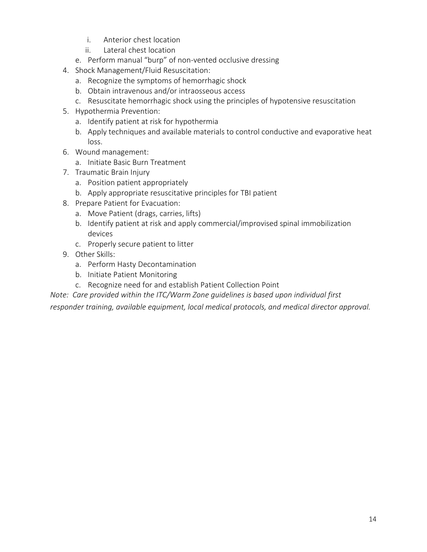- i. Anterior chest location
- ii. Lateral chest location
- e. Perform manual "burp" of non-vented occlusive dressing
- 4. Shock Management/Fluid Resuscitation:
	- a. Recognize the symptoms of hemorrhagic shock
	- b. Obtain intravenous and/or intraosseous access
	- c. Resuscitate hemorrhagic shock using the principles of hypotensive resuscitation
- 5. Hypothermia Prevention:
	- a. Identify patient at risk for hypothermia
	- b. Apply techniques and available materials to control conductive and evaporative heat loss.
- 6. Wound management:
	- a. Initiate Basic Burn Treatment
- 7. Traumatic Brain Injury
	- a. Position patient appropriately
	- b. Apply appropriate resuscitative principles for TBI patient
- 8. Prepare Patient for Evacuation:
	- a. Move Patient (drags, carries, lifts)
	- b. Identify patient at risk and apply commercial/improvised spinal immobilization devices
	- c. Properly secure patient to litter
- 9. Other Skills:
	- a. Perform Hasty Decontamination
	- b. Initiate Patient Monitoring
	- c. Recognize need for and establish Patient Collection Point

*Note: Care provided within the ITC/Warm Zone guidelines is based upon individual first responder training, available equipment, local medical protocols, and medical director approval.*